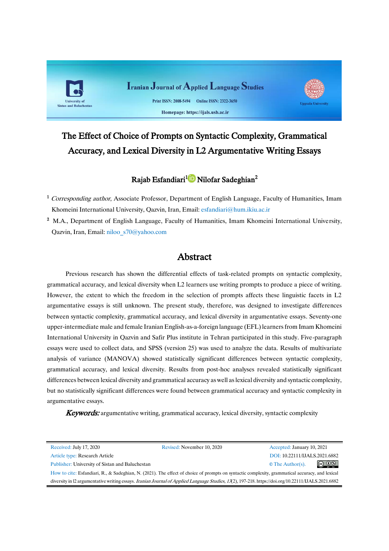

# The Effect of Choice of Prompts on Syntactic Complexity, Grammatical Accuracy, and Lexical Diversity in L2 Argumentative Writing Essays

# Rajab Esfandiari<sup>[1](https://orcid.org/0000-0002-2305-762X)</sup> D Nilofar Sadeghian<sup>2</sup>

- <sup>1</sup> Corresponding author, Associate Professor, Department of English Language, Faculty of Humanities, Imam Khomeini International University, Qazvin, Iran, Email: [esfandiari@hum.ikiu.ac.ir](mailto:1esfandiari@hum.ikiu.ac.ir)
- <sup>2</sup> M.A., Department of English Language, Faculty of Humanities, Imam Khomeini International University, Qazvin, Iran, Email: [niloo\\_s70@yahoo.com](mailto:niloo_s70@yahoo.com)

# **Abstract**

Previous research has shown the differential effects of task-related prompts on syntactic complexity, grammatical accuracy, and lexical diversity when L2 learners use writing prompts to produce a piece of writing. However, the extent to which the freedom in the selection of prompts affects these linguistic facets in L2 argumentative essays is still unknown. The present study, therefore, was designed to investigate differences between syntactic complexity, grammatical accuracy, and lexical diversity in argumentative essays. Seventy-one upper-intermediate male and female Iranian English-as-a-foreign language (EFL) learners from Imam Khomeini International University in Qazvin and Safir Plus institute in Tehran participated in this study. Five-paragraph essays were used to collect data, and SPSS (version 25) was used to analyze the data. Results of multivariate analysis of variance (MANOVA) showed statistically significant differences between syntactic complexity, grammatical accuracy, and lexical diversity. Results from post-hoc analyses revealed statistically significant differences between lexical diversity and grammatical accuracy as well as lexical diversity and syntactic complexity, but no statistically significant differences were found between grammatical accuracy and syntactic complexity in argumentative essays.

**Keywords:** argumentative writing, grammatical accuracy, lexical diversity, syntactic complexity

| Received: July 17, 2020                                                                                                                                     | Revised: November 10, 2020 | Accepted: January 10, 2021               |
|-------------------------------------------------------------------------------------------------------------------------------------------------------------|----------------------------|------------------------------------------|
| Article type: Research Article                                                                                                                              |                            | DOI: 10.22111/IJALS.2021.6882            |
| Publisher: University of Sistan and Baluchestan                                                                                                             |                            | $\circledcirc$<br>$\circ$ The Author(s). |
| How to cite: Esfandiari, R., & Sadeghian, N. (2021). The effect of choice of prompts on syntactic complexity, grammatical accuracy, and lexical             |                            |                                          |
| diversity in 12 argumentative writing essays. <i>Iranian Journal of Applied Language Studies</i> , 13(2), 197-218. https://doi.org/10.22111/JJALS.2021.6882 |                            |                                          |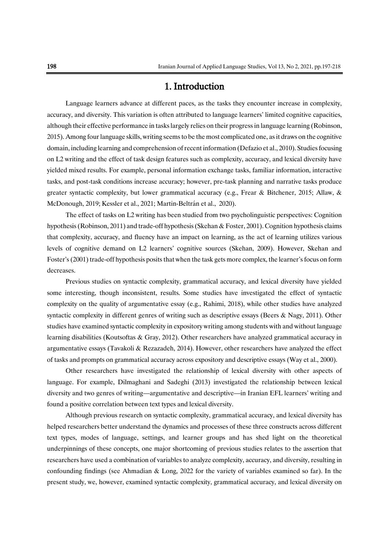# 1. Introduction

Language learners advance at different paces, as the tasks they encounter increase in complexity, accuracy, and diversity. This variation is often attributed to language learners' limited cognitive capacities, although their effective performance in tasks largely relies on their progress in language learning (Robinson, 2015). Among four language skills, writing seems to be the most complicated one, as it draws on the cognitive domain, including learning and comprehension of recent information (Defazio et al., 2010). Studies focusing on L2 writing and the effect of task design features such as complexity, accuracy, and lexical diversity have yielded mixed results. For example, personal information exchange tasks, familiar information, interactive tasks, and post-task conditions increase accuracy; however, pre-task planning and narrative tasks produce greater syntactic complexity, but lower grammatical accuracy (e.g., Frear & Bitchener, 2015; Allaw, & McDonough, 2019; Kessler et al., 2021; Martin-Beltrán et al., 2020).

The effect of tasks on L2 writing has been studied from two psycholinguistic perspectives: Cognition hypothesis (Robinson, 2011) and trade-off hypothesis (Skehan & Foster, 2001). Cognition hypothesis claims that complexity, accuracy, and fluency have an impact on learning, as the act of learning utilizes various levels of cognitive demand on L2 learners' cognitive sources (Skehan, 2009). However, Skehan and Foster's (2001) trade-off hypothesis posits that when the task gets more complex, the learner's focus on form decreases.

Previous studies on syntactic complexity, grammatical accuracy, and lexical diversity have yielded some interesting, though inconsistent, results. Some studies have investigated the effect of syntactic complexity on the quality of argumentative essay (e.g., Rahimi, 2018), while other studies have analyzed syntactic complexity in different genres of writing such as descriptive essays (Beers & Nagy, 2011). Other studies have examined syntactic complexity in expository writing among students with and without language learning disabilities (Koutsoftas & Gray, 2012). Other researchers have analyzed grammatical accuracy in argumentative essays (Tavakoli & Rezazadeh, 2014). However, other researchers have analyzed the effect of tasks and prompts on grammatical accuracy across expository and descriptive essays (Way et al., 2000).

Other researchers have investigated the relationship of lexical diversity with other aspects of language. For example, Dilmaghani and Sadeghi (2013) investigated the relationship between lexical diversity and two genres of writing—argumentative and descriptive—in Iranian EFL learners' writing and found a positive correlation between text types and lexical diversity.

Although previous research on syntactic complexity, grammatical accuracy, and lexical diversity has helped researchers better understand the dynamics and processes of these three constructs across different text types, modes of language, settings, and learner groups and has shed light on the theoretical underpinnings of these concepts, one major shortcoming of previous studies relates to the assertion that researchers have used a combination of variables to analyze complexity, accuracy, and diversity, resulting in confounding findings (see Ahmadian & Long, 2022 for the variety of variables examined so far). In the present study, we, however, examined syntactic complexity, grammatical accuracy, and lexical diversity on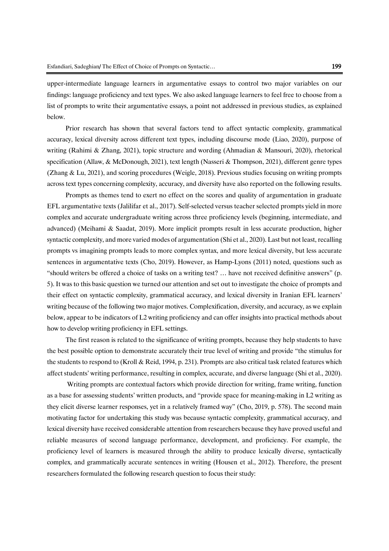upper-intermediate language learners in argumentative essays to control two major variables on our findings: language proficiency and text types. We also asked language learners to feel free to choose from a list of prompts to write their argumentative essays, a point not addressed in previous studies, as explained below.

Prior research has shown that several factors tend to affect syntactic complexity, grammatical accuracy, lexical diversity across different text types, including discourse mode (Liao, 2020), purpose of writing (Rahimi & Zhang, 2021), topic structure and wording (Ahmadian & Mansouri, 2020), rhetorical specification (Allaw, & McDonough, 2021), text length (Nasseri & Thompson, 2021), different genre types (Zhang & Lu, 2021), and scoring procedures (Weigle, 2018). Previous studies focusing on writing prompts across text types concerning complexity, accuracy, and diversity have also reported on the following results.

Prompts as themes tend to exert no effect on the scores and quality of argumentation in graduate EFL argumentative texts (Jalilifar et al., 2017). Self-selected versus teacher selected prompts yield in more complex and accurate undergraduate writing across three proficiency levels (beginning, intermediate, and advanced) (Meihami & Saadat, 2019). More implicit prompts result in less accurate production, higher syntactic complexity, and more varied modes of argumentation (Shi et al., 2020). Last but not least, recalling prompts vs imagining prompts leads to more complex syntax, and more lexical diversity, but less accurate sentences in argumentative texts (Cho, 2019). However, as Hamp-Lyons (2011) noted, questions such as "should writers be offered a choice of tasks on a writing test? … have not received definitive answers" (p. 5). It was to this basic question we turned our attention and set out to investigate the choice of prompts and their effect on syntactic complexity, grammatical accuracy, and lexical diversity in Iranian EFL learners' writing because of the following two major motives. Complexification, diversity, and accuracy, as we explain below, appear to be indicators of L2 writing proficiency and can offer insights into practical methods about how to develop writing proficiency in EFL settings.

The first reason is related to the significance of writing prompts, because they help students to have the best possible option to demonstrate accurately their true level of writing and provide "the stimulus for the students to respond to (Kroll & Reid, 1994, p. 231). Prompts are also critical task related features which affect students' writing performance, resulting in complex, accurate, and diverse language (Shi et al., 2020).

Writing prompts are contextual factors which provide direction for writing, frame writing, function as a base for assessing students' written products, and "provide space for meaning-making in L2 writing as they elicit diverse learner responses, yet in a relatively framed way" (Cho, 2019, p. 578). The second main motivating factor for undertaking this study was because syntactic complexity, grammatical accuracy, and lexical diversity have received considerable attention from researchers because they have proved useful and reliable measures of second language performance, development, and proficiency. For example, the proficiency level of learners is measured through the ability to produce lexically diverse, syntactically complex, and grammatically accurate sentences in writing (Housen et al., 2012). Therefore, the present researchers formulated the following research question to focus their study: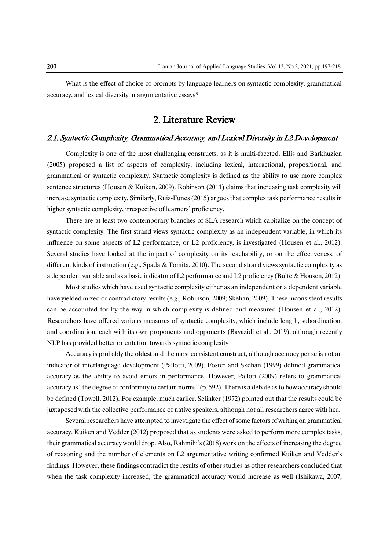What is the effect of choice of prompts by language learners on syntactic complexity, grammatical accuracy, and lexical diversity in argumentative essays?

# 2. Literature Review

### 2.1. Syntactic Complexity, Grammatical Accuracy, and Lexical Diversity in L2 Development

Complexity is one of the most challenging constructs, as it is multi-faceted. Ellis and Barkhuzien (2005) proposed a list of aspects of complexity, including lexical, interactional, propositional, and grammatical or syntactic complexity. Syntactic complexity is defined as the ability to use more complex sentence structures (Housen & Kuiken, 2009). Robinson (2011) claims that increasing task complexity will increase syntactic complexity. Similarly, Ruiz-Funes (2015) argues that complex task performance results in higher syntactic complexity, irrespective of learners' proficiency.

There are at least two contemporary branches of SLA research which capitalize on the concept of syntactic complexity. The first strand views syntactic complexity as an independent variable, in which its influence on some aspects of L2 performance, or L2 proficiency, is investigated (Housen et al., 2012). Several studies have looked at the impact of complexity on its teachability, or on the effectiveness, of different kinds of instruction (e.g., Spada & Tomita, 2010). The second strand views syntactic complexity as a dependent variable and as a basic indicator of L2 performance and L2 proficiency (Bulté & Housen, 2012).

Most studies which have used syntactic complexity either as an independent or a dependent variable have yielded mixed or contradictory results (e.g., Robinson, 2009; Skehan, 2009). These inconsistent results can be accounted for by the way in which complexity is defined and measured (Housen et al., 2012). Researchers have offered various measures of syntactic complexity, which include length, subordination, and coordination, each with its own proponents and opponents (Bayazidi et al., 2019), although recently NLP has provided better orientation towards syntactic complexity

Accuracy is probably the oldest and the most consistent construct, although accuracy per se is not an indicator of interlanguage development (Pallotti, 2009). Foster and Skehan (1999) defined grammatical accuracy as the ability to avoid errors in performance. However, Palloti (2009) refers to grammatical accuracy as "the degree of conformity to certain norms" (p. 592). There is a debate as to how accuracy should be defined (Towell, 2012). For example, much earlier, Selinker (1972) pointed out that the results could be juxtaposed with the collective performance of native speakers, although not all researchers agree with her.

Several researchers have attempted to investigate the effect of some factors of writing on grammatical accuracy. Kuiken and Vedder (2012) proposed that as students were asked to perform more complex tasks, their grammatical accuracy would drop. Also, Rahmihi's (2018) work on the effects of increasing the degree of reasoning and the number of elements on L2 argumentative writing confirmed Kuiken and Vedder's findings. However, these findings contradict the results of other studies as other researchers concluded that when the task complexity increased, the grammatical accuracy would increase as well (Ishikawa, 2007;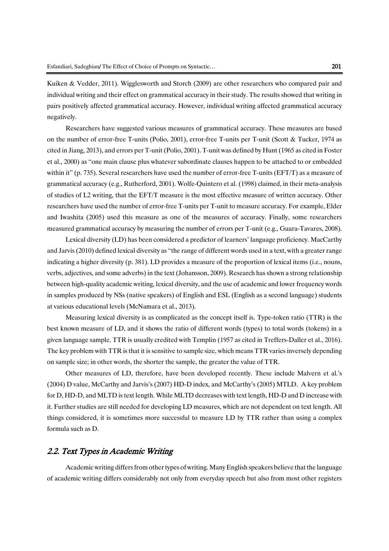Kuiken & Vedder, 2011). Wigglesworth and Storch (2009) are other researchers who compared pair and individual writing and their effect on grammatical accuracy in their study. The results showed that writing in pairs positively affected grammatical accuracy. However, individual writing affected grammatical accuracy negatively.

Researchers have suggested various measures of grammatical accuracy. These measures are based on the number of error-free T-units (Polio, 2001), error-free T-units per T-unit (Scott & Tucker, 1974 as cited in Jiang, 2013), and errors per T-unit (Polio, 2001). T-unit was defined by Hunt (1965 as cited in Foster et al., 2000) as "one main clause plus whatever subordinate clauses happen to be attached to or embedded within it" (p. 735). Several researchers have used the number of error-free T-units (EFT/T) as a measure of grammatical accuracy (e.g., Rutherford, 2001). Wolfe-Quintero et al. (1998) claimed, in their meta-analysis of studies of L2 writing, that the EFT/T measure is the most effective measure of written accuracy. Other researchers have used the number of error-free T-units per T-unit to measure accuracy. For example, Elder and Iwashita (2005) used this measure as one of the measures of accuracy. Finally, some researchers measured grammatical accuracy by measuring the number of errors per T-unit (e.g., Guara-Tavares, 2008).

Lexical diversity (LD) has been considered a predictor of learners' language proficiency. MacCarthy and Jarvis (2010) defined lexical diversity as "the range of different words used in a text, with a greater range indicating a higher diversity (p. 381). LD provides a measure of the proportion of lexical items (i.e., nouns, verbs, adjectives, and some adverbs) in the text (Johansson, 2009). Research has shown a strong relationship between high-quality academic writing, lexical diversity, and the use of academic and lower frequency words in samples produced by NSs (native speakers) of English and ESL (English as a second language) students at various educational levels (McNamara et al., 2013).

Measuring lexical diversity is as complicated as the concept itself is. Type-token ratio (TTR) is the best known measure of LD, and it shows the ratio of different words (types) to total words (tokens) in a given language sample. TTR is usually credited with Templin (1957 as cited in Treffers-Daller et al., 2016). The key problem with TTR is that it is sensitive to sample size, which means TTR varies inversely depending on sample size; in other words, the shorter the sample, the greater the value of TTR.

Other measures of LD, therefore, have been developed recently. These include Malvern et al.'s (2004) D value, McCarthy and Jarvis's (2007) HD-D index, and McCarthy's (2005) MTLD. A key problem for D, HD-D, and MLTD is text length. While MLTD decreases with text length, HD-D and D increase with it. Further studies are still needed for developing LD measures, which are not dependent on text length. All things considered, it is sometimes more successful to measure LD by TTR rather than using a complex formula such as D.

# 2.2. Text Types in Academic Writing

Academic writing differs from other types of writing. Many English speakers believe that the language of academic writing differs considerably not only from everyday speech but also from most other registers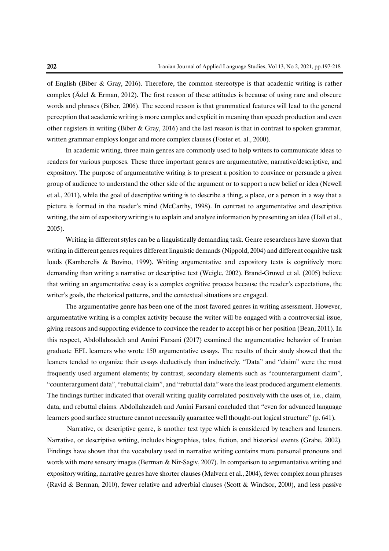of English (Biber & Gray, 2016). Therefore, the common stereotype is that academic writing is rather complex (Ädel & Erman, 2012). The first reason of these attitudes is because of using rare and obscure words and phrases (Biber, 2006). The second reason is that grammatical features will lead to the general perception that academic writing is more complex and explicit in meaning than speech production and even other registers in writing (Biber & Gray, 2016) and the last reason is that in contrast to spoken grammar, written grammar employs longer and more complex clauses (Foster et. al., 2000).

In academic writing, three main genres are commonly used to help writers to communicate ideas to readers for various purposes. These three important genres are argumentative, narrative/descriptive, and expository. The purpose of argumentative writing is to present a position to convince or persuade a given group of audience to understand the other side of the argument or to support a new belief or idea (Newell et al., 2011), while the goal of descriptive writing is to describe a thing, a place, or a person in a way that a picture is formed in the reader's mind (McCarthy, 1998). In contrast to argumentative and descriptive writing, the aim of expository writing is to explain and analyze information by presenting an idea (Hall et al., 2005).

Writing in different styles can be a linguistically demanding task. Genre researchers have shown that writing in different genres requires different linguistic demands (Nippold, 2004) and different cognitive task loads (Kamberelis & Bovino, 1999). Writing argumentative and expository texts is cognitively more demanding than writing a narrative or descriptive text (Weigle, 2002). Brand-Gruwel et al. (2005) believe that writing an argumentative essay is a complex cognitive process because the reader's expectations, the writer's goals, the rhetorical patterns, and the contextual situations are engaged.

The argumentative genre has been one of the most favored genres in writing assessment. However, argumentative writing is a complex activity because the writer will be engaged with a controversial issue, giving reasons and supporting evidence to convince the reader to accept his or her position (Bean, 2011). In this respect, Abdollahzadeh and Amini Farsani (2017) examined the argumentative behavior of Iranian graduate EFL learners who wrote 150 argumentative essays. The results of their study showed that the leaners tended to organize their essays deductively than inductively. "Data" and "claim" were the most frequently used argument elements; by contrast, secondary elements such as "counterargument claim", "counterargument data", "rebuttal claim", and "rebuttal data" were the least produced argument elements. The findings further indicated that overall writing quality correlated positively with the uses of, i.e., claim, data, and rebuttal claims. Abdollahzadeh and Amini Farsani concluded that "even for advanced language learners good surface structure cannot necessarily guarantee well thought-out logical structure" (p. 641).

Narrative, or descriptive genre, is another text type which is considered by teachers and learners. Narrative, or descriptive writing, includes biographies, tales, fiction, and historical events (Grabe, 2002). Findings have shown that the vocabulary used in narrative writing contains more personal pronouns and words with more sensory images (Berman & Nir-Sagiv, 2007). In comparison to argumentative writing and expository writing, narrative genres have shorter clauses (Malvern et al., 2004), fewer complex noun phrases (Ravid & Berman, 2010), fewer relative and adverbial clauses (Scott & Windsor, 2000), and less passive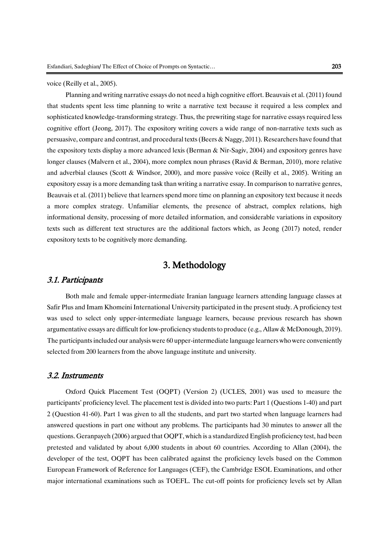voice (Reilly et al., 2005).

Planning and writing narrative essays do not need a high cognitive effort. Beauvais et al. (2011) found that students spent less time planning to write a narrative text because it required a less complex and sophisticated knowledge-transforming strategy. Thus, the prewriting stage for narrative essays required less cognitive effort (Jeong, 2017). The expository writing covers a wide range of non-narrative texts such as persuasive, compare and contrast, and procedural texts (Beers & Naggy, 2011). Researchers have found that the expository texts display a more advanced lexis (Berman & Nir-Sagiv, 2004) and expository genres have longer clauses (Malvern et al., 2004), more complex noun phrases (Ravid & Berman, 2010), more relative and adverbial clauses (Scott & Windsor, 2000), and more passive voice (Reilly et al., 2005). Writing an expository essay is a more demanding task than writing a narrative essay. In comparison to narrative genres, Beauvais et al. (2011) believe that learners spend more time on planning an expository text because it needs a more complex strategy. Unfamiliar elements, the presence of abstract, complex relations, high informational density, processing of more detailed information, and considerable variations in expository texts such as different text structures are the additional factors which, as Jeong (2017) noted, render expository texts to be cognitively more demanding.

# 3. Methodology

## 3.1. Participants

Both male and female upper-intermediate Iranian language learners attending language classes at Safir Plus and Imam Khomeini International University participated in the present study. A proficiency test was used to select only upper-intermediate language learners, because previous research has shown argumentative essays are difficult for low-proficiency students to produce (e.g., Allaw & McDonough, 2019). The participants included our analysis were 60 upper-intermediate language learners who were conveniently selected from 200 learners from the above language institute and university.

## 3.2. Instruments

Oxford Quick Placement Test (OQPT) (Version 2) (UCLES, 2001) was used to measure the participants' proficiency level. The placement test is divided into two parts: Part 1 (Questions 1-40) and part 2 (Question 41-60). Part 1 was given to all the students, and part two started when language learners had answered questions in part one without any problems. The participants had 30 minutes to answer all the questions. Geranpayeh (2006) argued that OQPT, which is a standardized English proficiency test, had been pretested and validated by about 6,000 students in about 60 countries. According to Allan (2004), the developer of the test, OQPT has been calibrated against the proficiency levels based on the Common European Framework of Reference for Languages (CEF), the Cambridge ESOL Examinations, and other major international examinations such as TOEFL. The cut-off points for proficiency levels set by Allan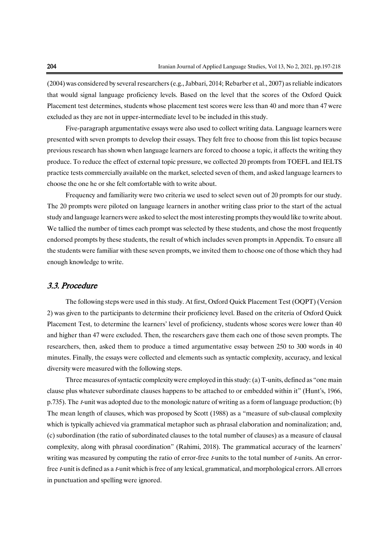(2004) was considered by several researchers (e.g., Jabbari, 2014; Rebarber et al., 2007) as reliable indicators that would signal language proficiency levels. Based on the level that the scores of the Oxford Quick Placement test determines, students whose placement test scores were less than 40 and more than 47 were excluded as they are not in upper-intermediate level to be included in this study.

Five-paragraph argumentative essays were also used to collect writing data. Language learners were presented with seven prompts to develop their essays. They felt free to choose from this list topics because previous research has shown when language learners are forced to choose a topic, it affects the writing they produce. To reduce the effect of external topic pressure, we collected 20 prompts from TOEFL and IELTS practice tests commercially available on the market, selected seven of them, and asked language learners to choose the one he or she felt comfortable with to write about.

Frequency and familiarity were two criteria we used to select seven out of 20 prompts for our study. The 20 prompts were piloted on language learners in another writing class prior to the start of the actual study and language learners were asked to select the most interesting promptsthey would like to write about. We tallied the number of times each prompt was selected by these students, and chose the most frequently endorsed prompts by these students, the result of which includes seven prompts in Appendix. To ensure all the students were familiar with these seven prompts, we invited them to choose one of those which they had enough knowledge to write.

## 3.3. Procedure

The following steps were used in this study. At first, Oxford Quick Placement Test (OQPT) (Version 2) was given to the participants to determine their proficiency level. Based on the criteria of Oxford Quick Placement Test, to determine the learners' level of proficiency, students whose scores were lower than 40 and higher than 47 were excluded. Then, the researchers gave them each one of those seven prompts. The researchers, then, asked them to produce a timed argumentative essay between 250 to 300 words in 40 minutes. Finally, the essays were collected and elements such as syntactic complexity, accuracy, and lexical diversity were measured with the following steps.

Three measures of syntactic complexity were employed in this study: (a) T-units, defined as "one main clause plus whatever subordinate clauses happens to be attached to or embedded within it" (Hunt's, 1966, p.735). The t-unit was adopted due to the monologic nature of writing as a form of language production; (b) The mean length of clauses, which was proposed by Scott (1988) as a "measure of sub-clausal complexity which is typically achieved via grammatical metaphor such as phrasal elaboration and nominalization; and, (c) subordination (the ratio of subordinated clauses to the total number of clauses) as a measure of clausal complexity, along with phrasal coordination" (Rahimi, 2018). The grammatical accuracy of the learners' writing was measured by computing the ratio of error-free  $t$ -units to the total number of  $t$ -units. An errorfree *t*-unit is defined as a *t*-unit which is free of any lexical, grammatical, and morphological errors. All errors in punctuation and spelling were ignored.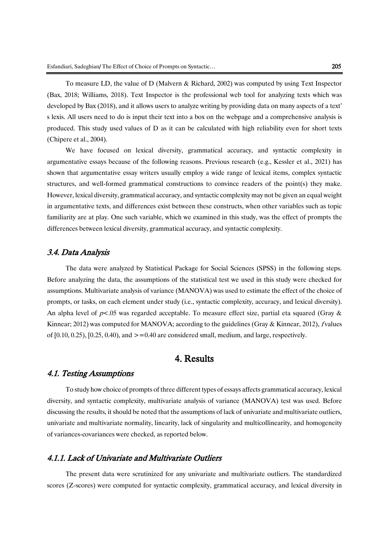To measure LD, the value of D (Malvern & Richard, 2002) was computed by using Text Inspector (Bax, 2018; Williams, 2018). Text Inspector is the professional web tool for analyzing texts which was developed by Bax (2018), and it allows users to analyze writing by providing data on many aspects of a text' s lexis. All users need to do is input their text into a box on the webpage and a comprehensive analysis is produced. This study used values of D as it can be calculated with high reliability even for short texts (Chipere et al., 2004).

We have focused on lexical diversity, grammatical accuracy, and syntactic complexity in argumentative essays because of the following reasons. Previous research (e.g., Kessler et al., 2021) has shown that argumentative essay writers usually employ a wide range of lexical items, complex syntactic structures, and well-formed grammatical constructions to convince readers of the point(s) they make. However, lexical diversity, grammatical accuracy, and syntactic complexity may not be given an equal weight in argumentative texts, and differences exist between these constructs, when other variables such as topic familiarity are at play. One such variable, which we examined in this study, was the effect of prompts the differences between lexical diversity, grammatical accuracy, and syntactic complexity.

## 3.4. Data Analysis

The data were analyzed by Statistical Package for Social Sciences (SPSS) in the following steps. Before analyzing the data, the assumptions of the statistical test we used in this study were checked for assumptions. Multivariate analysis of variance (MANOVA) was used to estimate the effect of the choice of prompts, or tasks, on each element under study (i.e., syntactic complexity, accuracy, and lexical diversity). An alpha level of  $p<.05$  was regarded acceptable. To measure effect size, partial eta squared (Gray & Kinnear; 2012) was computed for MANOVA; according to the guidelines (Gray & Kinnear, 2012), f values of  $[0.10, 0.25), [0.25, 0.40),$  and  $> = 0.40$  are considered small, medium, and large, respectively.

# 4. Results

## 4.1. Testing Assumptions

To study how choice of prompts of three different types of essays affects grammatical accuracy, lexical diversity, and syntactic complexity, multivariate analysis of variance (MANOVA) test was used. Before discussing the results, it should be noted that the assumptions of lack of univariate and multivariate outliers, univariate and multivariate normality, linearity, lack of singularity and multicollinearity, and homogeneity of variances-covariances were checked, as reported below.

## 4.1.1. Lack of Univariate and Multivariate Outliers

The present data were scrutinized for any univariate and multivariate outliers. The standardized scores (Z-scores) were computed for syntactic complexity, grammatical accuracy, and lexical diversity in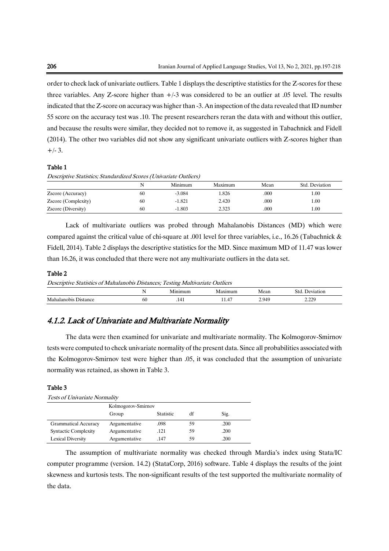order to check lack of univariate outliers. Table 1 displays the descriptive statistics for the Z-scores for these three variables. Any Z-score higher than +/-3 was considered to be an outlier at .05 level. The results indicated that the Z-score on accuracy was higher than -3. An inspection of the data revealed that ID number 55 score on the accuracy test was .10. The present researchers reran the data with and without this outlier, and because the results were similar, they decided not to remove it, as suggested in Tabachnick and Fidell (2014). The other two variables did not show any significant univariate outliers with Z-scores higher than  $+/- 3.$ 

### Table 1

Descriptive Statistics; Standardized Scores (Univariate Outliers)

|                     | N  | Minimum  | Maximum | Mean | Std. Deviation |
|---------------------|----|----------|---------|------|----------------|
| Zscore (Accuracy)   | 60 | $-3.084$ | 1.826   | .000 | 00.1           |
| Zscore (Complexity) | 60 | $-1.821$ | 2.420   | .000 | 00.1           |
| Zscore (Diversity)  | 60 | $-1.803$ | 2.323   | .000 | 00.1           |

Lack of multivariate outliers was probed through Mahalanobis Distances (MD) which were compared against the critical value of chi-square at .001 level for three variables, i.e., 16.26 (Tabachnick & Fidell, 2014). Table 2 displays the descriptive statistics for the MD. Since maximum MD of 11.47 was lower than 16.26, it was concluded that there were not any multivariate outliers in the data set.

### Table 2

Descriptive Statistics of Mahalanobis Distances; Testing Multivariate Outliers

|                          | $\sim$ |   |                 | $\Delta$       |             |
|--------------------------|--------|---|-----------------|----------------|-------------|
| M:<br>nhis.<br>11 C<br>┅ | -60    | . | . .<br>$\cdots$ | $\Omega$<br>-- | າາດ<br>---- |

# 4.1.2. Lack of Univariate and Multivariate Normality

The data were then examined for univariate and multivariate normality. The Kolmogorov-Smirnov tests were computed to check univariate normality of the present data. Since all probabilities associated with the Kolmogorov-Smirnov test were higher than .05, it was concluded that the assumption of univariate normality was retained, as shown in Table 3.

### Table 3

Tests of Univariate Normality

|                             | Kolmogorov-Smirnov |                  |    |      |  |  |
|-----------------------------|--------------------|------------------|----|------|--|--|
|                             | Group              | <b>Statistic</b> | df | Sig. |  |  |
| <b>Grammatical Accuracy</b> | Argumentative      | .098             | 59 | .200 |  |  |
| <b>Syntactic Complexity</b> | Argumentative      | .121             | 59 | .200 |  |  |
| Lexical Diversity           | Argumentative      | .147             | 59 | .200 |  |  |

The assumption of multivariate normality was checked through Mardia's index using Stata/IC computer programme (version. 14.2) (StataCorp, 2016) software. Table 4 displays the results of the joint skewness and kurtosis tests. The non-significant results of the test supported the multivariate normality of the data.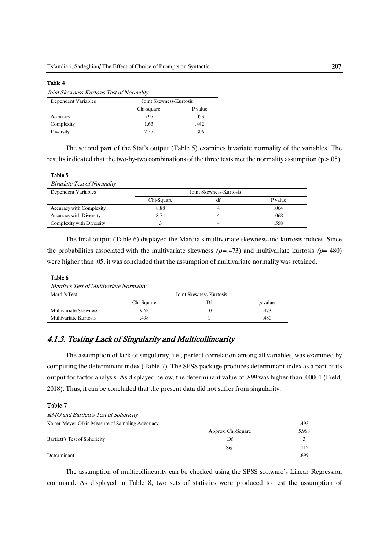### Table 4

|                     | Joint Skewness-Kurtosis Test of Normality |        |  |  |  |  |  |
|---------------------|-------------------------------------------|--------|--|--|--|--|--|
| Dependent Variables | Joint Skewness-Kurtosis                   |        |  |  |  |  |  |
|                     | Chi-square                                | P valu |  |  |  |  |  |
| Accuracy            | 5 Q7                                      | .053   |  |  |  |  |  |

Complexity 1.63 .442 Diversity 2.37 .306

The second part of the Stat's output (Table 5) examines bivariate normality of the variables. The results indicated that the two-by-two combinations of the three tests met the normality assumption (p>.05).

P value

### Table 5

| Dependent Variables             |            | Joint Skewness-Kurtosis |         |
|---------------------------------|------------|-------------------------|---------|
|                                 | Chi-Square | df                      | P value |
| <b>Accuracy with Complexity</b> | 8.88       |                         | .064    |
| Accuracy with Diversity         | 8.74       |                         | .068    |
| Complexity with Diversity       |            | 4                       | .558    |

The final output (Table 6) displayed the Mardia's multivariate skewness and kurtosis indices. Since the probabilities associated with the multivariate skewness  $(p=0.473)$  and multivariate kurtosis  $(p=0.480)$ were higher than .05, it was concluded that the assumption of multivariate normality was retained.

#### Table 6

```
Mardia's Test of Multivariate Normality
```

| Mardi's Test          | Joint Skewness-Kurtosis |    |                 |  |  |  |
|-----------------------|-------------------------|----|-----------------|--|--|--|
|                       | Chi-Square              | Df | <i>p</i> -value |  |  |  |
| Multivariate Skewness | 9.63                    |    | .473            |  |  |  |
| Multivariate Kurtosis | 498.                    |    | .480            |  |  |  |

# 4.1.3. Testing Lack of Singularity and Multicollinearity

The assumption of lack of singularity, i.e., perfect correlation among all variables, was examined by computing the determinant index (Table 7). The SPSS package produces determinant index as a part of its output for factor analysis. As displayed below, the determinant value of .899 was higher than .00001 (Field, 2018). Thus, it can be concluded that the present data did not suffer from singularity.

## Table 7

| <b>KMO</b> and Bartlett's Test of Sphericity     |                    |       |
|--------------------------------------------------|--------------------|-------|
| Kaiser-Meyer-Olkin Measure of Sampling Adequacy. |                    | .493  |
|                                                  | Approx. Chi-Square | 5.988 |
| Bartlett's Test of Sphericity                    | Df                 |       |
|                                                  | Sig.               | .112  |
| Determinant                                      |                    | .899  |

The assumption of multicollinearity can be checked using the SPSS software's Linear Regression command. As displayed in Table 8, two sets of statistics were produced to test the assumption of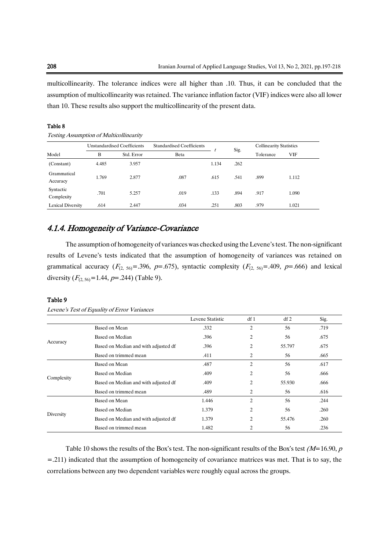multicollinearity. The tolerance indices were all higher than .10. Thus, it can be concluded that the assumption of multicollinearity was retained. The variance inflation factor (VIF) indices were also all lower than 10. These results also support the multicollinearity of the present data.

### Table 8

Testing Assumption of Multicollinearity

|                         |       | <b>Unstandardised Coefficients</b> | <b>Standardised Coefficients</b> |       |      | <b>Collinearity Statistics</b> |       |
|-------------------------|-------|------------------------------------|----------------------------------|-------|------|--------------------------------|-------|
| Model                   | B     | Std. Error                         | Beta                             |       | Sig. | Tolerance                      | VIF   |
| (Constant)              | 4.485 | 3.957                              |                                  | 1.134 | .262 |                                |       |
| Grammatical<br>Accuracy | 1.769 | 2.877                              | .087                             | .615  | .541 | .899                           | 1.112 |
| Syntactic<br>Complexity | .701  | 5.257                              | .019                             | .133  | .894 | .917                           | 1.090 |
| Lexical Diversity       | .614  | 2.447                              | .034                             | .251  | .803 | .979                           | 1.021 |

## 4.1.4. Homogeneity of Variance-Covariance

The assumption of homogeneity of variances was checked using the Levene's test. The non-significant results of Levene's tests indicated that the assumption of homogeneity of variances was retained on grammatical accuracy ( $F_{(2, 56)}$ =.396, p=.675), syntactic complexity ( $F_{(2, 56)}$ =.409, p=.666) and lexical diversity  $(F_{(2, 56)}=1.44, p=.244)$  (Table 9).

### Table 9

Levene's Test of Equality of Error Variances

|            |                                      | Levene Statistic | df1            | df2    | Sig. |
|------------|--------------------------------------|------------------|----------------|--------|------|
|            | Based on Mean                        | .332             | $\overline{2}$ | 56     | .719 |
|            | Based on Median                      | .396             | $\overline{2}$ | 56     | .675 |
| Accuracy   | Based on Median and with adjusted df | .396             | 2              | 55.797 | .675 |
|            | Based on trimmed mean                | .411             | 2              | 56     | .665 |
|            | Based on Mean                        | .487             | $\overline{2}$ | 56     | .617 |
|            | Based on Median                      | .409             | $\overline{2}$ | 56     | .666 |
| Complexity | Based on Median and with adjusted df | .409             | $\overline{2}$ | 55.930 | .666 |
|            | Based on trimmed mean                | .489             | 2              | 56     | .616 |
|            | Based on Mean                        | 1.446            | $\overline{2}$ | 56     | .244 |
|            | Based on Median                      | 1.379            | $\overline{2}$ | 56     | .260 |
| Diversity  | Based on Median and with adjusted df | 1.379            | $\overline{c}$ | 55.476 | .260 |
|            | Based on trimmed mean                | 1.482            | 2              | 56     | .236 |

Table 10 shows the results of the Box's test. The non-significant results of the Box's test  $(M=16.90, p$ =.211) indicated that the assumption of homogeneity of covariance matrices was met. That is to say, the correlations between any two dependent variables were roughly equal across the groups.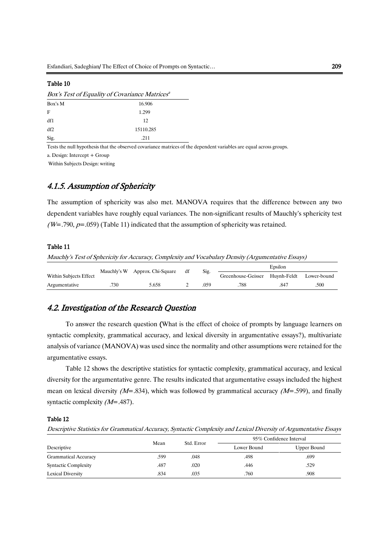### Table 10

|         | Box's Test of Equality of Covariance Matrices <sup>a</sup> |  |  |  |  |
|---------|------------------------------------------------------------|--|--|--|--|
| Box's M | 16.906                                                     |  |  |  |  |
| F       | 1.299                                                      |  |  |  |  |
| df1     | 12                                                         |  |  |  |  |
| df2     | 15110.285                                                  |  |  |  |  |
| Sig.    | .211                                                       |  |  |  |  |

Tests the null hypothesis that the observed covariance matrices of the dependent variables are equal across groups.

a. Design: Intercept + Group

Within Subjects Design: writing

## 4.1.5. Assumption of Sphericity

The assumption of sphericity was also met. MANOVA requires that the difference between any two dependent variables have roughly equal variances. The non-significant results of Mauchly's sphericity test  $(W=.790, p=.059)$  (Table 11) indicated that the assumption of sphericity was retained.

### Table 11

Mauchly's Test of Sphericity for Accuracy, Complexity and Vocabulary Density (Argumentative Essays)

|                        |      |                                | df | Sig. |                                            | Epsilon |      |
|------------------------|------|--------------------------------|----|------|--------------------------------------------|---------|------|
| Within Subjects Effect |      | Mauchly's W Approx. Chi-Square |    |      | Greenhouse-Geisser Huvnh-Feldt Lower-bound |         |      |
| Argumentative          | .730 | 5.658                          |    | .059 | .788                                       | .847    | .500 |

## 4.2. Investigation of the Research Question

To answer the research question (What is the effect of choice of prompts by language learners on syntactic complexity, grammatical accuracy, and lexical diversity in argumentative essays?), multivariate analysis of variance (MANOVA) was used since the normality and other assumptions were retained for the argumentative essays.

Table 12 shows the descriptive statistics for syntactic complexity, grammatical accuracy, and lexical diversity for the argumentative genre. The results indicated that argumentative essays included the highest mean on lexical diversity ( $M = .834$ ), which was followed by grammatical accuracy ( $M = .599$ ), and finally syntactic complexity (M=.487).

### Table 12

Descriptive Statistics for Grammatical Accuracy, Syntactic Complexity and Lexical Diversity of Argumentative Essays

|                             | Mean | Std. Error | 95% Confidence Interval |             |  |
|-----------------------------|------|------------|-------------------------|-------------|--|
| Descriptive                 |      |            | Lower Bound             | Upper Bound |  |
| <b>Grammatical Accuracy</b> | .599 | .048       | .498                    | .699        |  |
| <b>Syntactic Complexity</b> | .487 | .020       | .446                    | .529        |  |
| Lexical Diversity           | .834 | .035       | .760                    | .908        |  |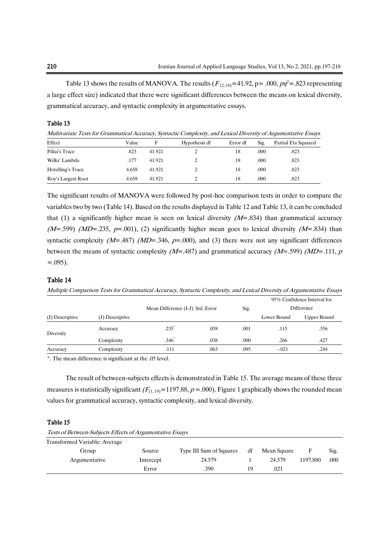Table 13 shows the results of MANOVA. The results  $(F_{(2, 18)} = 41.92, p = .000, p\eta^2 = .823$  representing a large effect size) indicated that there were significant differences between the means on lexical diversity, grammatical accuracy, and syntactic complexity in argumentative essays.

### Table 13

Multivariate Tests for Grammatical Accuracy, Syntactic Complexity, and Lexical Diversity of Argumentative Essays

| Effect             | Value | F      | Hypothesis df | Error df | Sig. | Partial Eta Squared |
|--------------------|-------|--------|---------------|----------|------|---------------------|
| Pillai's Trace     | .823  | 41.921 |               | 18       | .000 | .823                |
| Wilks' Lambda      | .177  | 41.921 |               | 18       | .000 | .823                |
| Hotelling's Trace  | 4.658 | 41.921 |               | 18       | .000 | .823                |
| Roy's Largest Root | 4.658 | 41.921 |               | 18       | .000 | .823                |

The significant results of MANOVA were followed by post-hoc comparison tests in order to compare the variables two by two (Table 14). Based on the results displayed in Table 12 and Table 13, it can be concluded that (1) a significantly higher mean is seen on lexical diversity  $(M=0.834)$  than grammatical accuracy ( $M=0.599$ ) ( $MD=0.235$ ,  $p=0.001$ ), (2) significantly higher mean goes to lexical diversity ( $M=0.834$ ) than syntactic complexity ( $M=$ .487) ( $MD=$ .346,  $p=$ .000), and (3) there were not any significant differences between the means of syntactic complexity ( $M=$ -487) and grammatical accuracy ( $M=$ -599) ( $MD=$ -111,  $p$ )  $= .095$ ).

### Table 14

Multiple Comparison Tests for Grammatical Accuracy, Syntactic Complexity, and Lexical Diversity of Argumentative Essays

|                 |                 |                                  |      |      | 95% Confidence Interval for |             |  |
|-----------------|-----------------|----------------------------------|------|------|-----------------------------|-------------|--|
|                 |                 | Mean Difference (I-J) Std. Error |      | Sig. | Difference                  |             |  |
| (I) Descriptive | (J) Descriptive |                                  |      |      | Lower Bound                 | Upper Bound |  |
| Diversity       | Accuracy        | .235'                            | .058 | .001 | .115                        | .356        |  |
|                 | Complexity      | $.346$ <sup>*</sup>              | .038 | .000 | .266                        | .427        |  |
| Accuracy        | Complexity      | .111                             | .063 | .095 | $-.021$                     | .244        |  |

\*. The mean difference is significant at the .05 level.

The result of between-subjects effects is demonstrated in Table 15. The average means of these three measures is statistically significant  $(F_{(1, 19)}=1197.88, p = .000)$ . Figure 1 graphically shows the rounded mean values for grammatical accuracy, syntactic complexity, and lexical diversity.

#### Table 15

Tests of Between-Subjects Effects of Argumentative Essays

| Transformed Variable: Average |           |                         |    |             |          |      |
|-------------------------------|-----------|-------------------------|----|-------------|----------|------|
| Group                         | Source    | Type III Sum of Squares | df | Mean Square | F        | Sig. |
| Argumentative                 | Intercept | 24.579                  |    | 24.579      | 1197.880 | .000 |
|                               | Error     | .390                    | 19 | .021        |          |      |
|                               |           |                         |    |             |          |      |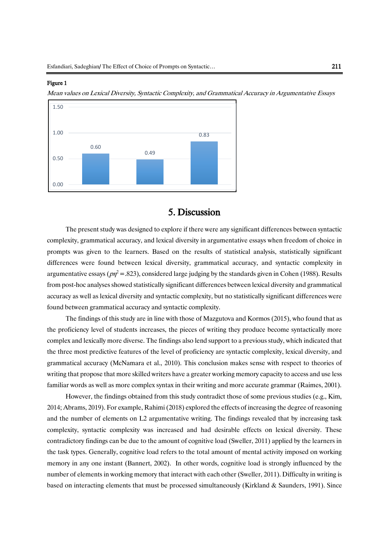### Figure 1

Mean values on Lexical Diversity, Syntactic Complexity, and Grammatical Accuracy in Argumentative Essays



# 5. Discussion

The present study was designed to explore if there were any significant differences between syntactic complexity, grammatical accuracy, and lexical diversity in argumentative essays when freedom of choice in prompts was given to the learners. Based on the results of statistical analysis, statistically significant differences were found between lexical diversity, grammatical accuracy, and syntactic complexity in argumentative essays ( $p\eta^2$  = .823), considered large judging by the standards given in Cohen (1988). Results from post-hoc analyses showed statistically significant differences between lexical diversity and grammatical accuracy as well as lexical diversity and syntactic complexity, but no statistically significant differences were found between grammatical accuracy and syntactic complexity.

The findings of this study are in line with those of Mazgutova and Kormos (2015), who found that as the proficiency level of students increases, the pieces of writing they produce become syntactically more complex and lexically more diverse. The findings also lend support to a previous study, which indicated that the three most predictive features of the level of proficiency are syntactic complexity, lexical diversity, and grammatical accuracy (McNamara et al., 2010). This conclusion makes sense with respect to theories of writing that propose that more skilled writers have a greater working memory capacity to access and use less familiar words as well as more complex syntax in their writing and more accurate grammar (Raimes, 2001).

However, the findings obtained from this study contradict those of some previous studies (e.g., Kim, 2014; Abrams, 2019). For example, Rahimi (2018) explored the effects of increasing the degree of reasoning and the number of elements on L2 argumentative writing. The findings revealed that by increasing task complexity, syntactic complexity was increased and had desirable effects on lexical diversity. These contradictory findings can be due to the amount of cognitive load (Sweller, 2011) applied by the learners in the task types. Generally, cognitive load refers to the total amount of mental activity imposed on working memory in any one instant (Bannert, 2002). In other words, cognitive load is strongly influenced by the number of elements in working memory that interact with each other (Sweller, 2011). Difficulty in writing is based on interacting elements that must be processed simultaneously (Kirkland & Saunders, 1991). Since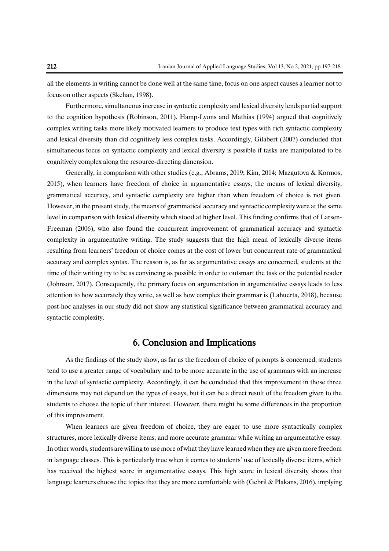all the elements in writing cannot be done well at the same time, focus on one aspect causes a learner not to focus on other aspects (Skehan, 1998).

Furthermore, simultaneous increase in syntactic complexity and lexical diversity lends partial support to the cognition hypothesis (Robinson, 2011). Hamp-Lyons and Mathias (1994) argued that cognitively complex writing tasks more likely motivated learners to produce text types with rich syntactic complexity and lexical diversity than did cognitively less complex tasks. Accordingly, Gilabert (2007) concluded that simultaneous focus on syntactic complexity and lexical diversity is possible if tasks are manipulated to be cognitively complex along the resource-directing dimension.

Generally, in comparison with other studies (e.g., Abrams, 2019; Kim, 2014; Mazgutova & Kormos, 2015), when learners have freedom of choice in argumentative essays, the means of lexical diversity, grammatical accuracy, and syntactic complexity are higher than when freedom of choice is not given. However, in the present study, the means of grammatical accuracy and syntactic complexity were at the same level in comparison with lexical diversity which stood at higher level. This finding confirms that of Larsen-Freeman (2006), who also found the concurrent improvement of grammatical accuracy and syntactic complexity in argumentative writing. The study suggests that the high mean of lexically diverse items resulting from learners' freedom of choice comes at the cost of lower but concurrent rate of grammatical accuracy and complex syntax. The reason is, as far as argumentative essays are concerned, students at the time of their writing try to be as convincing as possible in order to outsmart the task or the potential reader (Johnson, 2017). Consequently, the primary focus on argumentation in argumentative essays leads to less attention to how accurately they write, as well as how complex their grammar is (Lahuerta, 2018), because post-hoc analyses in our study did not show any statistical significance between grammatical accuracy and syntactic complexity.

# 6. Conclusion and Implications

As the findings of the study show, as far as the freedom of choice of prompts is concerned, students tend to use a greater range of vocabulary and to be more accurate in the use of grammars with an increase in the level of syntactic complexity. Accordingly, it can be concluded that this improvement in those three dimensions may not depend on the types of essays, but it can be a direct result of the freedom given to the students to choose the topic of their interest. However, there might be some differences in the proportion of this improvement.

When learners are given freedom of choice, they are eager to use more syntactically complex structures, more lexically diverse items, and more accurate grammar while writing an argumentative essay. In other words, students are willing to use more of what they have learned when they are given more freedom in language classes. This is particularly true when it comes to students' use of lexically diverse items, which has received the highest score in argumentative essays. This high score in lexical diversity shows that language learners choose the topics that they are more comfortable with (Gebril & Plakans, 2016), implying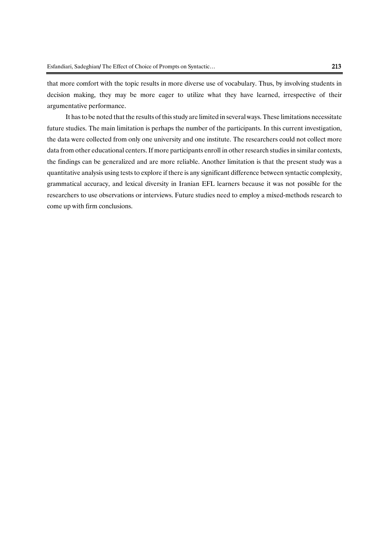that more comfort with the topic results in more diverse use of vocabulary. Thus, by involving students in decision making, they may be more eager to utilize what they have learned, irrespective of their argumentative performance.

It has to be noted that the results of this study are limited in several ways. These limitations necessitate future studies. The main limitation is perhaps the number of the participants. In this current investigation, the data were collected from only one university and one institute. The researchers could not collect more data from other educational centers. If more participants enroll in other research studies in similar contexts, the findings can be generalized and are more reliable. Another limitation is that the present study was a quantitative analysis using tests to explore if there is any significant difference between syntactic complexity, grammatical accuracy, and lexical diversity in Iranian EFL learners because it was not possible for the researchers to use observations or interviews. Future studies need to employ a mixed-methods research to come up with firm conclusions.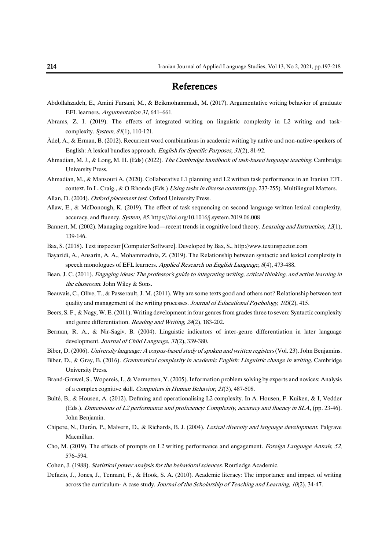# References

- Abdollahzadeh, E., Amini Farsani, M., & Beikmohammadi, M. (2017). Argumentative writing behavior of graduate EFL learners. Argumentation 31, 641–661.
- Abrams, Z. I. (2019). The effects of integrated writing on linguistic complexity in L2 writing and taskcomplexity. System, 81(1), 110-121.
- Ädel, A., & Erman, B. (2012). Recurrent word combinations in academic writing by native and non-native speakers of English: A lexical bundles approach. English for Specific Purposes, <sup>31</sup>(2), 81-92.
- Ahmadian, M. J., & Long, M. H. (Eds) (2022). The Cambridge handbook of task-based language teaching. Cambridge University Press.
- Ahmadian, M., & Mansouri A. (2020). Collaborative L1 planning and L2 written task performance in an Iranian EFL context. In L. Craig., & O Rhonda (Eds.) Using tasks in diverse contexts (pp. 237-255). Multilingual Matters.
- Allan, D. (2004). Oxford placement test. Oxford University Press.
- Allaw, E., & McDonough, K. (2019). The effect of task sequencing on second language written lexical complexity, accuracy, and fluency. System, 85. https://doi.org/10.1016/j.system.2019.06.008
- Bannert, M. (2002). Managing cognitive load—recent trends in cognitive load theory. Learning and Instruction, 12(1), 139-146.
- Bax, S. (2018). Text inspector [Computer Software]. Developed by Bax, S.[, http://www.textinspector.com](http://www.textinspector.com/)
- Bayazidi, A., Ansarin, A. A., Mohammadnia, Z. (2019). The Relationship between syntactic and lexical complexity in speech monologues of EFL learners. Applied Research on English Language, 8(4), 473-488.
- Bean, J. C. (2011). Engaging ideas: The professor's guide to integrating writing, critical thinking, and active learning in the classroom. John Wiley & Sons.
- Beauvais, C., Olive, T., & Passerault, J. M. (2011). Why are some texts good and others not? Relationship between text quality and management of the writing processes. Journal of Educational Psychology, 103(2), 415.
- Beers, S. F., & Nagy, W. E. (2011). Writing development in four genres from grades three to seven: Syntactic complexity and genre differentiation. Reading and Writing, 24(2), 183-202.
- Berman, R. A., & Nir-Sagiv, B. (2004). Linguistic indicators of inter-genre differentiation in later language development. Journal of Child Language, 31(2), 339-380.
- Biber, D. (2006). University language: A corpus-based study of spoken and written registers (Vol. 23). John Benjamins.
- Biber, D., & Gray, B. (2016). Grammatical complexity in academic English: Linguistic change in writing. Cambridge University Press.
- Brand-Gruwel, S., Wopereis, I., & Vermetten, Y. (2005). Information problem solving by experts and novices: Analysis of a complex cognitive skill. Computers in Human Behavior, <sup>21</sup>(3), 487-508.
- Bulté, B., & Housen, A. (2012). Defining and operationalising L2 complexity. In A. Housen, F. Kuiken, & I, Vedder (Eds.). Dimensions of L2 performance and proficiency: Complexity, accuracy and fluency in SLA, (pp. 23-46). John Benjamin.
- Chipere, N., Durán, P., Malvern, D., & Richards, B. J. (2004). Lexical diversity and language development. Palgrave Macmillan.
- Cho, M. (2019). The effects of prompts on L2 writing performance and engagement. Foreign Language Annals, 52, 576–594.
- Cohen, J. (1988). Statistical power analysis for the behavioral sciences. Routledge Academic.
- Defazio, J., Jones, J., Tennant, F., & Hook, S. A. (2010). Academic literacy: The importance and impact of writing across the curriculum- A case study. Journal of the Scholarship of Teaching and Learning, <sup>10</sup>(2), 34-47.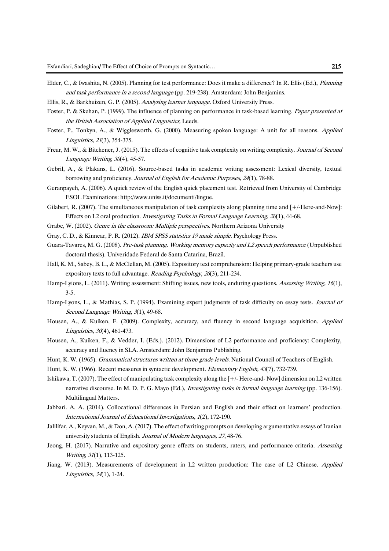- Elder, C., & Iwashita, N. (2005). Planning for test performance: Does it make a difference? In R. Ellis (Ed.), Planning and task performance in a second language (pp. 219-238). Amsterdam: John Benjamins.
- Ellis, R., & Barkhuizen, G. P. (2005). Analysing learner language. Oxford University Press.
- Foster, P. & Skehan, P. (1999). The influence of planning on performance in task-based learning. Paper presented at the British Association of Applied Linguistics, Leeds.
- Foster, P., Tonkyn, A., & Wigglesworth, G. (2000). Measuring spoken language: A unit for all reasons. Applied Linguistics, <sup>21</sup>(3), 354-375.
- Frear, M. W., & Bitchener, J. (2015). The effects of cognitive task complexity on writing complexity. Journal of Second Language Writing, 30(4), 45-57.
- Gebril, A., & Plakans, L. (2016). Source-based tasks in academic writing assessment: Lexical diversity, textual borrowing and proficiency. Journal of English for Academic Purposes, 24(1), 78-88.
- Geranpayeh, A. (2006). A quick review of the English quick placement test. Retrieved from University of Cambridge ESOL Examinations: [http://www.uniss.it/documenti/lingue.](http://www.uniss.it/documenti/lingue)
- Gilabert, R. (2007). The simultaneous manipulation of task complexity along planning time and [+/-Here-and-Now]: Effects on L2 oral production. Investigating Tasks in Formal Language Learning, <sup>20</sup>(1), 44-68.
- Grabe, W. (2002). Genre in the classroom: Multiple perspectives. Northern Arizona University
- Gray, C. D., & Kinnear, P. R. (2012). IBM SPSS statistics 19 made simple. Psychology Press.
- Guara-Tavares, M. G. (2008). Pre-task planning. Working memory capacity and L2 speech performance (Unpublished doctoral thesis). Univeridade Federal de Santa Catarina, Brazil.
- Hall, K. M., Sabey, B. L., & McClellan, M. (2005). Expository text comprehension: Helping primary-grade teachers use expository texts to full advantage. Reading Psychology, <sup>26</sup>(3), 211-234.
- Hamp-Lyions, L. (2011). Writing assessment: Shifting issues, new tools, enduring questions. Assessing Writing, 16(1), 3-5.
- Hamp-Lyons, L., & Mathias, S. P. (1994). Examining expert judgments of task difficulty on essay tests. Journal of Second Language Writing, 3(1), 49-68.
- Housen, A., & Kuiken, F. (2009). Complexity, accuracy, and fluency in second language acquisition. Applied Linguistics, <sup>30</sup>(4), 461-473.
- Housen, A., Kuiken, F., & Vedder, I. (Eds.). (2012). Dimensions of L2 performance and proficiency: Complexity, accuracy and fluency in SLA. Amsterdam: John Benjamins Publishing.
- Hunt, K. W. (1965). *Grammatical structures written at three grade levels*. National Council of Teachers of English.
- Hunt, K. W. (1966). Recent measures in syntactic development. Elementary English, <sup>43</sup>(7), 732-739.
- Ishikawa, T. (2007). The effect of manipulating task complexity along the [+/- Here-and- Now] dimension on L2 written narrative discourse. In M. D. P. G. Mayo (Ed.), *Investigating tasks in formal language learning* (pp. 136-156). Multilingual Matters.
- Jabbari. A. A. (2014). Collocational differences in Persian and English and their effect on learners' production. International Journal of Educational Investigations, 1(2), 172-190.
- Jalilifar, A., Keyvan, M., & Don, A. (2017). The effect of writing prompts on developing argumentative essays of Iranian university students of English. Journal of Modern languages, 27, 48-76.
- Jeong, H. (2017). Narrative and expository genre effects on students, raters, and performance criteria. Assessing Writing, 31(1), 113-125.
- Jiang, W. (2013). Measurements of development in L2 written production: The case of L2 Chinese. Applied Linguistics, <sup>34</sup>(1), 1-24.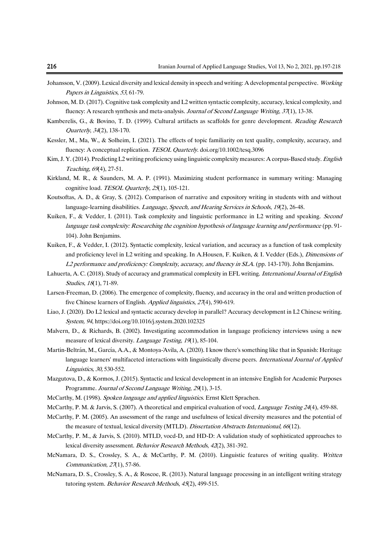- Johansson, V. (2009). Lexical diversity and lexical density in speech and writing: A developmental perspective. Working Papers in Linguistics, <sup>53</sup>, 61-79.
- Johnson, M. D. (2017). Cognitive task complexity and L2 written syntactic complexity, accuracy, lexical complexity, and fluency: A research synthesis and meta-analysis. Journal of Second Language Writing, 37(1), 13-38.
- Kamberelis, G., & Bovino, T. D. (1999). Cultural artifacts as scaffolds for genre development. *Reading Research* Quarterly, <sup>34</sup>(2), 138-170.
- Kessler, M., Ma, W., & Solheim, I. (2021). The effects of topic familiarity on text quality, complexity, accuracy, and fluency: A conceptual replication. TESOL Quarterly. doi.org/10.1002/tesq.3096
- Kim, J. Y. (2014). Predicting L2 writing proficiency using linguistic complexity measures: A corpus-Based study. English Teaching, <sup>69</sup>(4), 27-51.
- Kirkland, M. R., & Saunders, M. A. P. (1991). Maximizing student performance in summary writing: Managing cognitive load. TESOL Quarterly, 25(1), 105-121.
- Koutsoftas, A. D., & Gray, S. (2012). Comparison of narrative and expository writing in students with and without language-learning disabilities. *Language, Speech, and Hearing Services in Schools*, 19(2), 26-48.
- Kuiken, F., & Vedder, I. (2011). Task complexity and linguistic performance in L2 writing and speaking. Second language task complexity: Researching the cognition hypothesis of language learning and performance (pp. 91- 104). John Benjamins.
- Kuiken, F., & Vedder, I. (2012). Syntactic complexity, lexical variation, and accuracy as a function of task complexity and proficiency level in L2 writing and speaking. In A.Housen, F. Kuiken, & I. Vedder (Eds.), Dimensions of L2 performance and proficiency: Complexity, accuracy, and fluency in SLA. (pp. 143-170). John Benjamins.
- Lahuerta, A. C. (2018). Study of accuracy and grammatical complexity in EFL writing. International Journal of English Studies, <sup>18</sup>(1), 71-89.
- Larsen-Freeman, D. (2006). The emergence of complexity, fluency, and accuracy in the oral and written production of five Chinese learners of English. Applied linguistics, 27(4), 590-619.
- Liao, J. (2020). Do L2 lexical and syntactic accuracy develop in parallel? Accuracy development in L2 Chinese writing. System, 94[, https://doi.org/10.1016/j.system.2020.102325](https://doi.org/10.1016/j.system.2020.102325)
- Malvern, D., & Richards, B. (2002). Investigating accommodation in language proficiency interviews using a new measure of lexical diversity. *Language Testing*, 19(1), 85-104.
- Martin-Beltrán, M., García, A.A., & Montoya-Άvila, A. (2020). I know there's something like that in Spanish: Heritage language learners' multifaceted interactions with linguistically diverse peers. International Journal of Applied Linguistics, 30, 530-552.
- Mazgutova, D., & Kormos, J. (2015). Syntactic and lexical development in an intensive English for Academic Purposes Programme. Journal of Second Language Writing, <sup>29</sup>(1), 3-15.
- McCarthy, M. (1998). Spoken language and applied linguistics. Ernst Klett Sprachen.
- McCarthy, P. M. & Jarvis, S. (2007). A theoretical and empirical evaluation of vocd, *Language Testing 24*(4), 459-88.
- McCarthy, P. M. (2005). An assessment of the range and usefulness of lexical diversity measures and the potential of the measure of textual, lexical diversity (MTLD). Dissertation Abstracts International, 66(12).
- McCarthy, P. M., & Jarvis, S. (2010). MTLD, vocd-D, and HD-D: A validation study of sophisticated approaches to lexical diversity assessment. Behavior Research Methods, <sup>42</sup>(2), 381-392.
- McNamara, D. S., Crossley, S. A., & McCarthy, P. M. (2010). Linguistic features of writing quality. Written Communication, 27(1), 57-86.
- McNamara, D. S., Crossley, S. A., & Roscoe, R. (2013). Natural language processing in an intelligent writing strategy tutoring system. Behavior Research Methods, <sup>45</sup>(2), 499-515.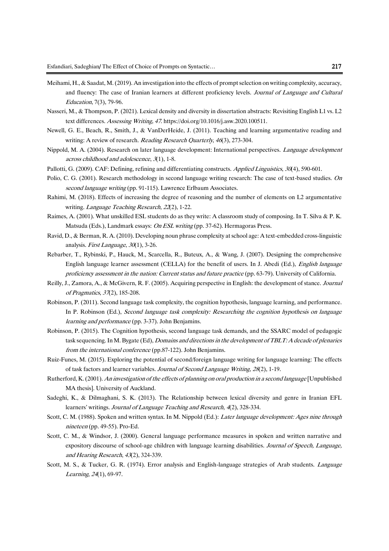- Meihami, H., & Saadat, M. (2019). An investigation into the effects of prompt selection on writing complexity, accuracy, and fluency: The case of Iranian learners at different proficiency levels. Journal of Language and Cultural Education, 7(3), 79-96.
- Nasseri, M., & Thompson, P. (2021). Lexical density and diversity in dissertation abstracts: Revisiting English L1 vs. L2 text differences. Assessing Writing, 47. https://doi.org/10.1016/j.asw.2020.100511.
- Newell, G. E., Beach, R., Smith, J., & VanDerHeide, J. (2011). Teaching and learning argumentative reading and writing: A review of research. *Reading Research Quarterly, 46*(3), 273-304.
- Nippold, M. A. (2004). Research on later language development: International perspectives. *Language development* across childhood and adolescence, <sup>3</sup>(1), 1-8.
- Pallotti, G. (2009). CAF: Defining, refining and differentiating constructs. Applied Linguistics, 30(4), 590-601.
- Polio, C. G. (2001). Research methodology in second language writing research: The case of text-based studies. On second language writing (pp. 91-115). Lawrence Erlbaum Associates.
- Rahimi, M. (2018). Effects of increasing the degree of reasoning and the number of elements on L2 argumentative writing. *Language Teaching Research*, 22(2), 1-22.
- Raimes, A. (2001). What unskilled ESL students do as they write: A classroom study of composing. In T. Silva & P. K. Matsuda (Eds.), Landmark essays: On ESL writing (pp. 37-62). Hermagoras Press.
- Ravid, D., & Berman, R. A. (2010). Developing noun phrase complexity at school age: A text-embedded cross-linguistic analysis. First Language, <sup>30</sup>(1), 3-26.
- Rebarber, T., Rybinski, P., Hauck, M., Scarcella, R., Buteux, A., & Wang, J. (2007). Designing the comprehensive English language learner assessment (CELLA) for the benefit of users. In J. Abedi (Ed.), English language proficiency assessment in the nation: Current status and future practice (pp. 63-79). University of California.
- Reilly, J., Zamora, A., & McGivern, R. F. (2005). Acquiring perspective in English: the development of stance. Journal of Pragmatics, <sup>37</sup>(2), 185-208.
- Robinson, P. (2011). Second language task complexity, the cognition hypothesis, language learning, and performance. In P. Robinson (Ed.), Second language task complexity: Researching the cognition hypothesis on language learning and performance (pp. 3-37). John Benjamins.
- Robinson, P. (2015). The Cognition hypothesis, second language task demands, and the SSARC model of pedagogic task sequencing. In M. Bygate (Ed), *Domains and directions in the development of TBLT: A decade of plenaries* from the international conference (pp.87-122). John Benjamins.
- Ruiz-Funes, M. (2015). Exploring the potential of second/foreign language writing for language learning: The effects of task factors and learner variables. Journal of Second Language Writing, <sup>28</sup>(2), 1-19.
- Rutherford, K. (2001). An investigation of the effects of planning on oral production in a second language [Unpublished MA thesis]. University of Auckland.
- Sadeghi, K., & Dilmaghani, S. K. (2013). The Relationship between lexical diversity and genre in Iranian EFL learners' writings. Journal of Language Teaching and Research, <sup>4</sup>(2), 328-334.
- Scott, C. M. (1988). Spoken and written syntax. In M. Nippold (Ed.): Later language development: Ages nine through nineteen (pp. 49-55). Pro-Ed.
- Scott, C. M., & Windsor, J. (2000). General language performance measures in spoken and written narrative and expository discourse of school-age children with language learning disabilities. Journal of Speech, Language, and Hearing Research, <sup>43</sup>(2), 324-339.
- Scott, M. S., & Tucker, G. R. (1974). Error analysis and English-language strategies of Arab students. Language Learning, <sup>24</sup>(1), 69-97.